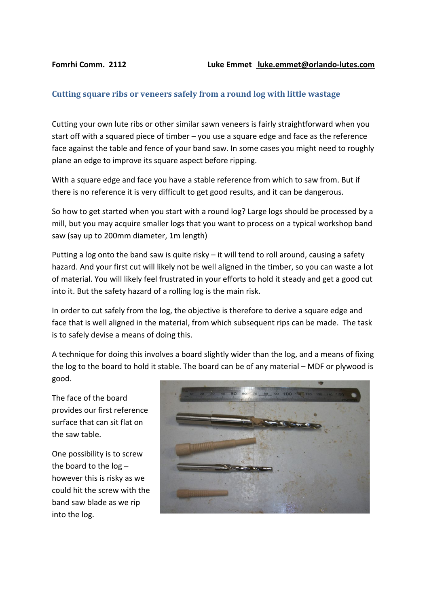## **Cutting square ribs or veneers safely from a round log with little wastage**

Cutting your own lute ribs or other similar sawn veneers is fairly straightforward when you start off with a squared piece of timber – you use a square edge and face as the reference face against the table and fence of your band saw. In some cases you might need to roughly plane an edge to improve its square aspect before ripping.

With a square edge and face you have a stable reference from which to saw from. But if there is no reference it is very difficult to get good results, and it can be dangerous.

So how to get started when you start with a round log? Large logs should be processed by a mill, but you may acquire smaller logs that you want to process on a typical workshop band saw (say up to 200mm diameter, 1m length)

Putting a log onto the band saw is quite risky – it will tend to roll around, causing a safety hazard. And your first cut will likely not be well aligned in the timber, so you can waste a lot of material. You will likely feel frustrated in your efforts to hold it steady and get a good cut into it. But the safety hazard of a rolling log is the main risk.

In order to cut safely from the log, the objective is therefore to derive a square edge and face that is well aligned in the material, from which subsequent rips can be made. The task is to safely devise a means of doing this.

A technique for doing this involves a board slightly wider than the log, and a means of fixing the log to the board to hold it stable. The board can be of any material – MDF or plywood is good.

The face of the board provides our first reference surface that can sit flat on the saw table.

One possibility is to screw the board to the  $log$ however this is risky as we could hit the screw with the band saw blade as we rip into the log.

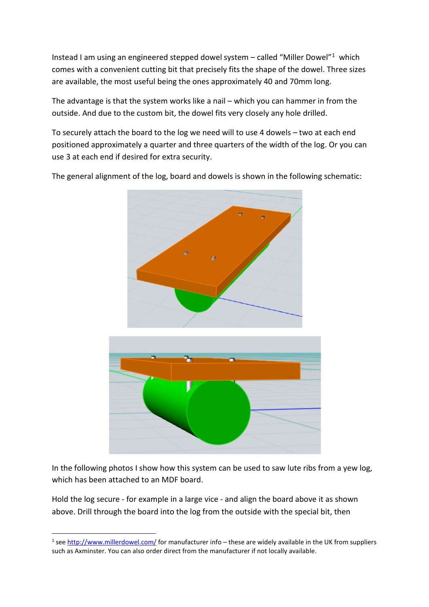Instead I am using an engineered stepped dowel system – called "Miller Dowel"[1](#page-1-0) which comes with a convenient cutting bit that precisely fits the shape of the dowel. Three sizes are available, the most useful being the ones approximately 40 and 70mm long.

The advantage is that the system works like a nail – which you can hammer in from the outside. And due to the custom bit, the dowel fits very closely any hole drilled.

To securely attach the board to the log we need will to use 4 dowels – two at each end positioned approximately a quarter and three quarters of the width of the log. Or you can use 3 at each end if desired for extra security.

The general alignment of the log, board and dowels is shown in the following schematic:





In the following photos I show how this system can be used to saw lute ribs from a yew log, which has been attached to an MDF board.

Hold the log secure - for example in a large vice - and align the board above it as shown above. Drill through the board into the log from the outside with the special bit, then

<span id="page-1-0"></span><sup>&</sup>lt;sup>1</sup> se[e http://www.millerdowel.com/](http://www.millerdowel.com/) for manufacturer info – these are widely available in the UK from suppliers such as Axminster. You can also order direct from the manufacturer if not locally available.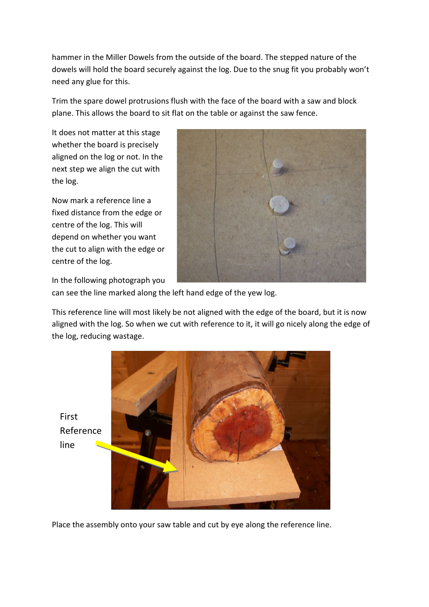hammer in the Miller Dowels from the outside of the board. The stepped nature of the dowels will hold the board securely against the log. Due to the snug fit you probably won't need any glue for this.

Trim the spare dowel protrusions flush with the face of the board with a saw and block plane. This allows the board to sit flat on the table or against the saw fence.

It does not matter at this stage whether the board is precisely aligned on the log or not. In the next step we align the cut with the log.

Now mark a reference line a fixed distance from the edge or centre of the log. This will depend on whether you want the cut to align with the edge or centre of the log.



In the following photograph you

can see the line marked along the left hand edge of the yew log.

This reference line will most likely be not aligned with the edge of the board, but it is now aligned with the log. So when we cut with reference to it, it will go nicely along the edge of the log, reducing wastage.





Place the assembly onto your saw table and cut by eye along the reference line.